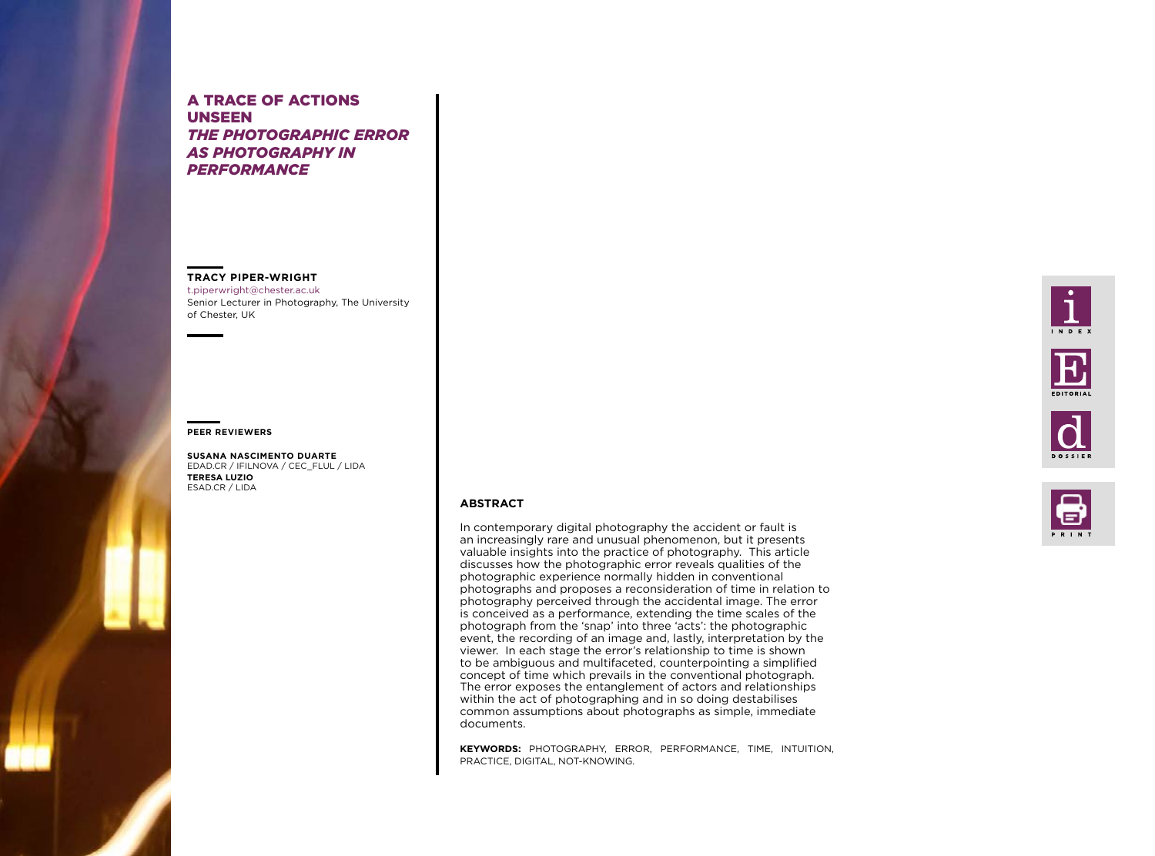# **ABSTRACT**

In contemporary digital photography the accident or fault is an increasingly rare and unusual phenomenon, but it presents valuable insights into the practice of photography. This article discusses how the photographic error reveals qualities of the photographic experience normally hidden in conventional photographs and proposes a reconsideration of time in relation to photography perceived through the accidental image. The error is conceived as a performance, extending the time scales of the photograph from the 'snap' into three 'acts': the photographic event, the recording of an image and, lastly, interpretation by the viewer. In each stage the error's relationship to time is shown to be ambiguous and multifaceted, counterpointing a simplified concept of time which prevails in the conventional photograph. The error exposes the entanglement of actors and relationships within the act of photographing and in so doing destabilises common assumptions about photographs as simple, immediate documents.

**KEYWORDS:** PHOTOGRAPHY, ERROR, PERFORMANCE, TIME, INTUITION, PRACTICE, DIGITAL, NOT-KNOWING.





# A TRACE OF ACTIONS UNSEEN *THE PHOTOGRAPHIC ERROR AS PHOTOGRAPHY IN PERFORMANCE*

## **TRACY PIPER-WRIGHT**

[t.piperwright@chester.ac.uk](mailto:t.piperwright%40chester.ac.uk?subject=) Senior Lecturer in Photography, The University of Chester, UK

#### **PEER REVIEWERS**

**SUSANA NASCIMENTO DUARTE** EDAD.CR / IFILNOVA / CEC\_FLUL / LIDA **TERESA LUZIO**  ESAD.CR / LIDA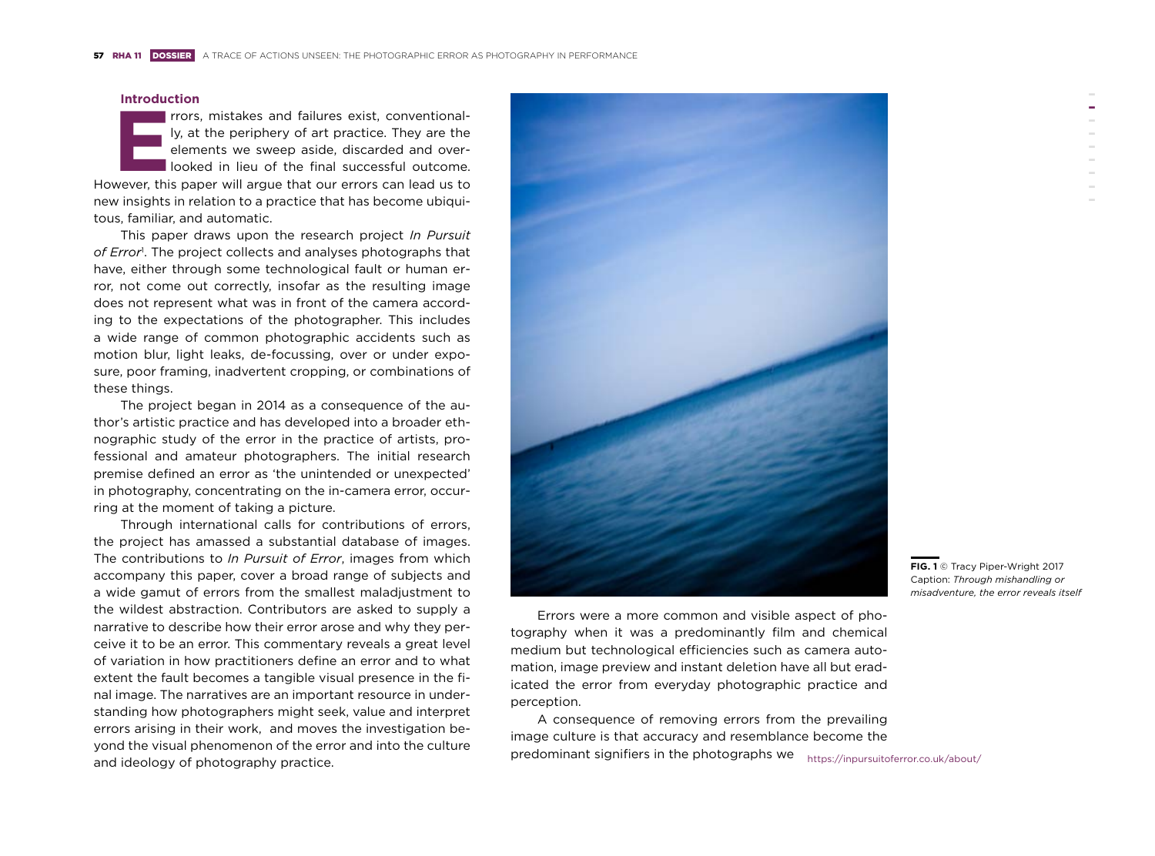



## **Introduction**

**ERRORE 19 ISSNET ISSNET ISSNET ISSNET ISSNET ISSNET ISSNET ISSNET ISSNET ISSNET ISSNET ISSNET ISSNET ISSNET ISSNET ISSNET ISSNET ISSNET ISSNET ISSNET ISSNET ISSNET ISSNET ISSNET ISSNET ISSNET ISSNET ISSNET ISSNET ISSNET I** ly, at the periphery of art practice. They are the elements we sweep aside, discarded and overlooked in lieu of the final successful outcome. new insights in relation to a practice that has become ubiquitous, familiar, and automatic.

This paper draws upon the research project *In Pursuit of Error*<sup>1</sup> . The project collects and analyses photographs that have, either through some technological fault or human error, not come out correctly, insofar as the resulting image does not represent what was in front of the camera according to the expectations of the photographer. This includes a wide range of common photographic accidents such as motion blur, light leaks, de-focussing, over or under exposure, poor framing, inadvertent cropping, or combinations of these things.

The project began in 2014 as a consequence of the author's artistic practice and has developed into a broader ethnographic study of the error in the practice of artists, professional and amateur photographers. The initial research premise defined an error as 'the unintended or unexpected' in photography, concentrating on the in-camera error, occurring at the moment of taking a picture.

> predominant signifiers in the photographs we <https://inpursuitoferror.co.uk/about/> A consequence of removing errors from the prevailing image culture is that accuracy and resemblance become the

Through international calls for contributions of errors, the project has amassed a substantial database of images. The contributions to *In Pursuit of Error*, images from which accompany this paper, cover a broad range of subjects and a wide gamut of errors from the smallest maladjustment to the wildest abstraction. Contributors are asked to supply a narrative to describe how their error arose and why they perceive it to be an error. This commentary reveals a great level of variation in how practitioners define an error and to what extent the fault becomes a tangible visual presence in the final image. The narratives are an important resource in understanding how photographers might seek, value and interpret errors arising in their work, and moves the investigation beyond the visual phenomenon of the error and into the culture and ideology of photography practice.



Errors were a more common and visible aspect of photography when it was a predominantly film and chemical medium but technological efficiencies such as camera automation, image preview and instant deletion have all but eradicated the error from everyday photographic practice and perception.

**FIG. 1** © Tracy Piper-Wright 2017 Caption: *Through mishandling or misadventure, the error reveals itself*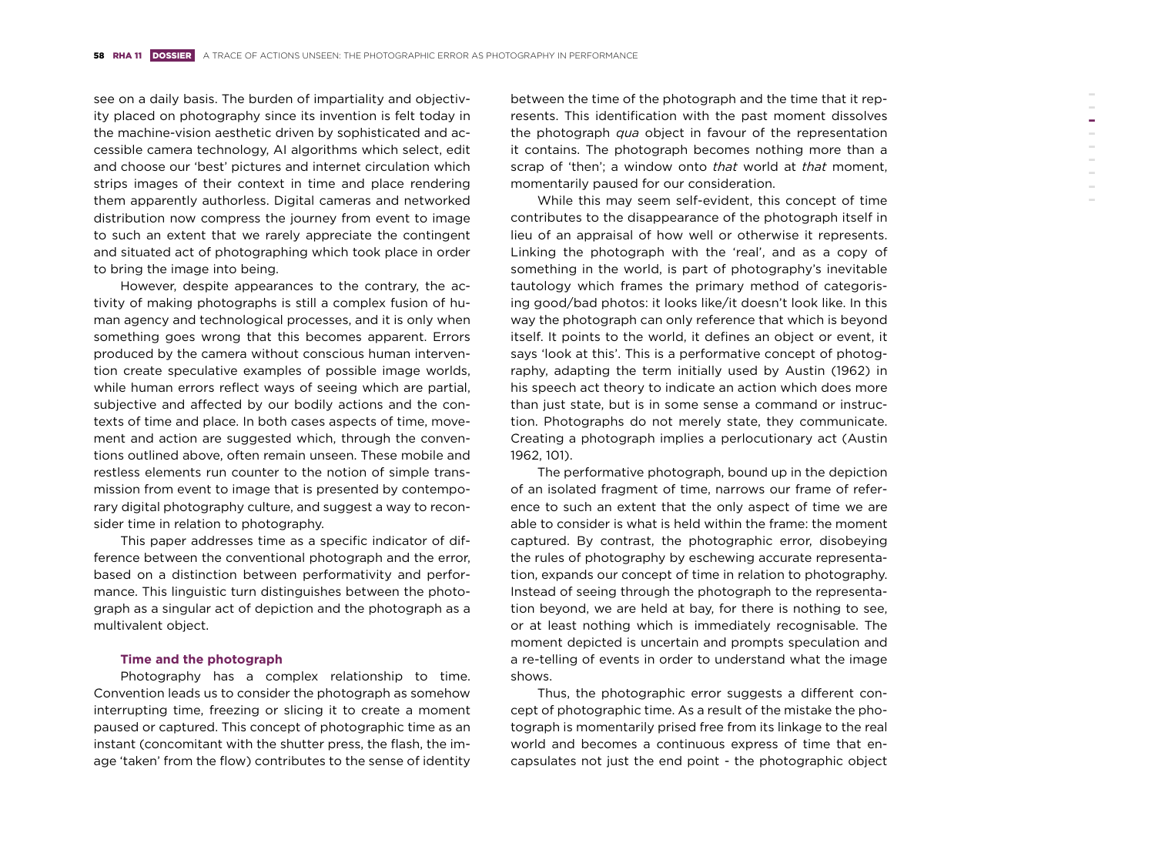see on a daily basis. The burden of impartiality and objectivity placed on photography since its invention is felt today in the machine-vision aesthetic driven by sophisticated and accessible camera technology, AI algorithms which select, edit and choose our 'best' pictures and internet circulation which strips images of their context in time and place rendering them apparently authorless. Digital cameras and networked distribution now compress the journey from event to image to such an extent that we rarely appreciate the contingent and situated act of photographing which took place in order to bring the image into being.

However, despite appearances to the contrary, the activity of making photographs is still a complex fusion of human agency and technological processes, and it is only when something goes wrong that this becomes apparent. Errors produced by the camera without conscious human intervention create speculative examples of possible image worlds, while human errors reflect ways of seeing which are partial, subjective and affected by our bodily actions and the contexts of time and place. In both cases aspects of time, movement and action are suggested which, through the conventions outlined above, often remain unseen. These mobile and restless elements run counter to the notion of simple transmission from event to image that is presented by contemporary digital photography culture, and suggest a way to reconsider time in relation to photography.

This paper addresses time as a specific indicator of difference between the conventional photograph and the error, based on a distinction between performativity and performance. This linguistic turn distinguishes between the photograph as a singular act of depiction and the photograph as a multivalent object.

### **Time and the photograph**

Photography has a complex relationship to time. Convention leads us to consider the photograph as somehow interrupting time, freezing or slicing it to create a moment paused or captured. This concept of photographic time as an instant (concomitant with the shutter press, the flash, the image 'taken' from the flow) contributes to the sense of identity

between the time of the photograph and the time that it represents. This identification with the past moment dissolves the photograph *qua* object in favour of the representation it contains. The photograph becomes nothing more than a scrap of 'then'; a window onto *that* world at *that* moment, momentarily paused for our consideration.

While this may seem self-evident, this concept of time contributes to the disappearance of the photograph itself in lieu of an appraisal of how well or otherwise it represents. Linking the photograph with the 'real', and as a copy of something in the world, is part of photography's inevitable tautology which frames the primary method of categorising good/bad photos: it looks like/it doesn't look like. In this way the photograph can only reference that which is beyond itself. It points to the world, it defines an object or event, it says 'look at this'. This is a performative concept of photography, adapting the term initially used by Austin (1962) in his speech act theory to indicate an action which does more than just state, but is in some sense a command or instruction. Photographs do not merely state, they communicate. Creating a photograph implies a perlocutionary act (Austin 1962, 101).

The performative photograph, bound up in the depiction of an isolated fragment of time, narrows our frame of reference to such an extent that the only aspect of time we are able to consider is what is held within the frame: the moment captured. By contrast, the photographic error, disobeying the rules of photography by eschewing accurate representation, expands our concept of time in relation to photography. Instead of seeing through the photograph to the representation beyond, we are held at bay, for there is nothing to see, or at least nothing which is immediately recognisable. The moment depicted is uncertain and prompts speculation and a re-telling of events in order to understand what the image shows.

Thus, the photographic error suggests a different concept of photographic time. As a result of the mistake the photograph is momentarily prised free from its linkage to the real world and becomes a continuous express of time that encapsulates not just the end point - the photographic object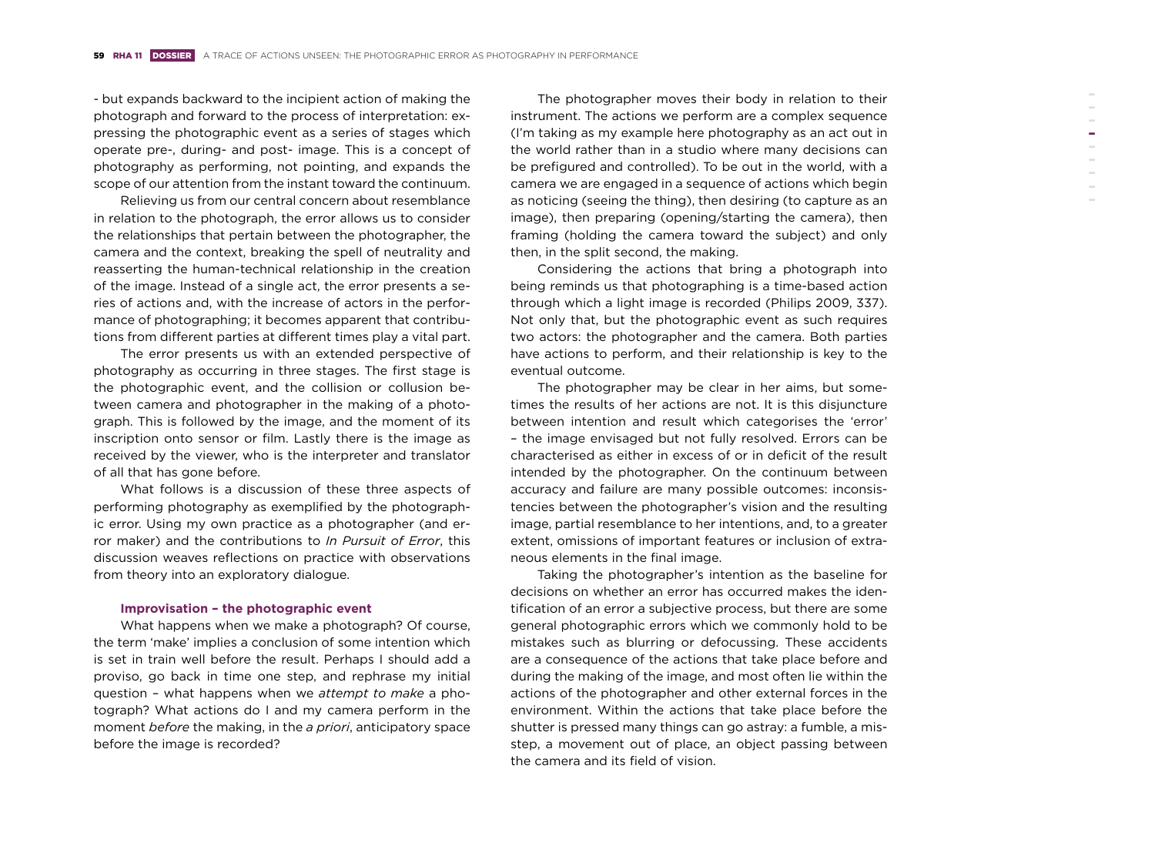- but expands backward to the incipient action of making the photograph and forward to the process of interpretation: expressing the photographic event as a series of stages which operate pre-, during- and post- image. This is a concept of photography as performing, not pointing, and expands the scope of our attention from the instant toward the continuum.

Relieving us from our central concern about resemblance in relation to the photograph, the error allows us to consider the relationships that pertain between the photographer, the camera and the context, breaking the spell of neutrality and reasserting the human-technical relationship in the creation of the image. Instead of a single act, the error presents a series of actions and, with the increase of actors in the performance of photographing; it becomes apparent that contributions from different parties at different times play a vital part.

The error presents us with an extended perspective of photography as occurring in three stages. The first stage is the photographic event, and the collision or collusion between camera and photographer in the making of a photograph. This is followed by the image, and the moment of its inscription onto sensor or film. Lastly there is the image as received by the viewer, who is the interpreter and translator of all that has gone before.

What follows is a discussion of these three aspects of performing photography as exemplified by the photographic error. Using my own practice as a photographer (and error maker) and the contributions to *In Pursuit of Error*, this discussion weaves reflections on practice with observations from theory into an exploratory dialogue.

### **Improvisation – the photographic event**

What happens when we make a photograph? Of course, the term 'make' implies a conclusion of some intention which is set in train well before the result. Perhaps I should add a proviso, go back in time one step, and rephrase my initial question – what happens when we *attempt to make* a photograph? What actions do I and my camera perform in the moment *before* the making, in the *a priori*, anticipatory space before the image is recorded?

The photographer moves their body in relation to their instrument. The actions we perform are a complex sequence (I'm taking as my example here photography as an act out in the world rather than in a studio where many decisions can be prefigured and controlled). To be out in the world, with a camera we are engaged in a sequence of actions which begin as noticing (seeing the thing), then desiring (to capture as an image), then preparing (opening/starting the camera), then framing (holding the camera toward the subject) and only then, in the split second, the making.

Considering the actions that bring a photograph into being reminds us that photographing is a time-based action through which a light image is recorded (Philips 2009, 337). Not only that, but the photographic event as such requires two actors: the photographer and the camera. Both parties have actions to perform, and their relationship is key to the eventual outcome.

The photographer may be clear in her aims, but sometimes the results of her actions are not. It is this disjuncture between intention and result which categorises the 'error' – the image envisaged but not fully resolved. Errors can be characterised as either in excess of or in deficit of the result intended by the photographer. On the continuum between accuracy and failure are many possible outcomes: inconsistencies between the photographer's vision and the resulting image, partial resemblance to her intentions, and, to a greater extent, omissions of important features or inclusion of extraneous elements in the final image.

Taking the photographer's intention as the baseline for decisions on whether an error has occurred makes the identification of an error a subjective process, but there are some general photographic errors which we commonly hold to be mistakes such as blurring or defocussing. These accidents are a consequence of the actions that take place before and during the making of the image, and most often lie within the actions of the photographer and other external forces in the environment. Within the actions that take place before the shutter is pressed many things can go astray: a fumble, a misstep, a movement out of place, an object passing between the camera and its field of vision.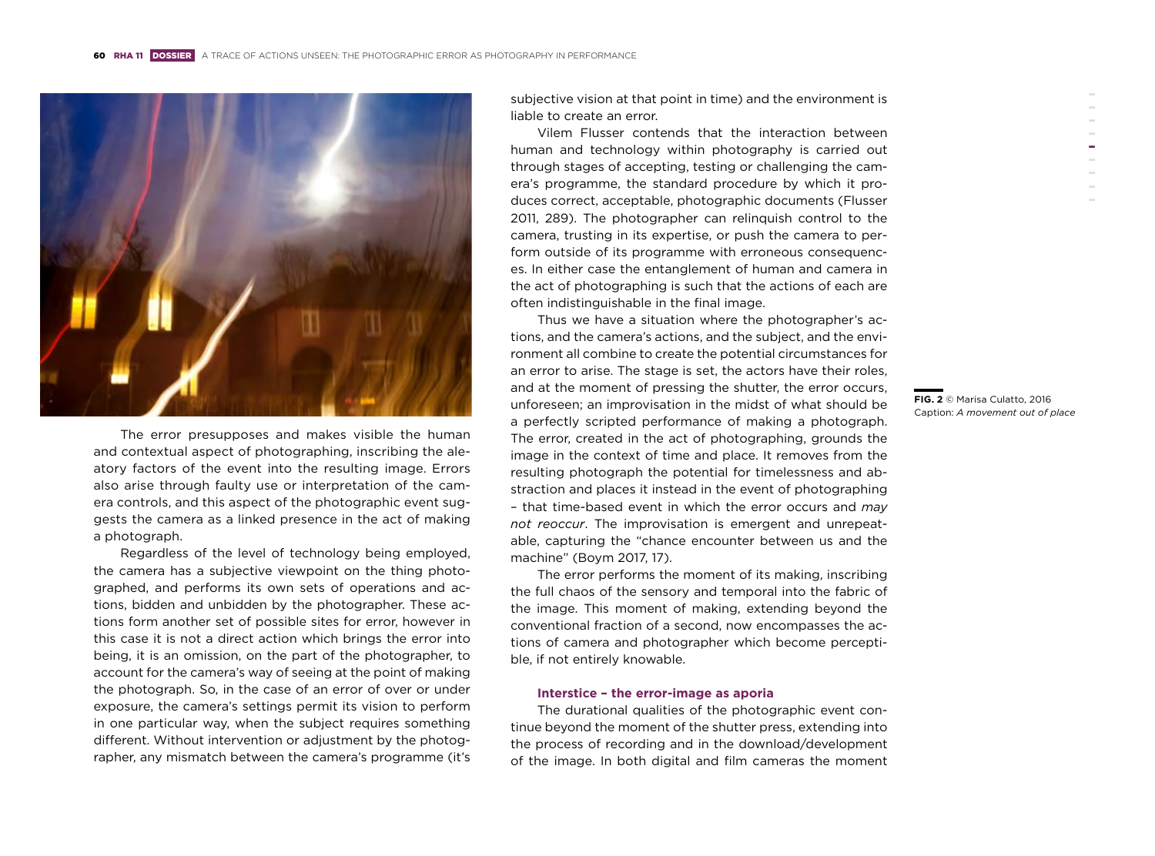

The error presupposes and makes visible the human and contextual aspect of photographing, inscribing the aleatory factors of the event into the resulting image. Errors also arise through faulty use or interpretation of the camera controls, and this aspect of the photographic event suggests the camera as a linked presence in the act of making a photograph.

Regardless of the level of technology being employed, the camera has a subjective viewpoint on the thing photographed, and performs its own sets of operations and actions, bidden and unbidden by the photographer. These actions form another set of possible sites for error, however in this case it is not a direct action which brings the error into being, it is an omission, on the part of the photographer, to account for the camera's way of seeing at the point of making the photograph. So, in the case of an error of over or under exposure, the camera's settings permit its vision to perform in one particular way, when the subject requires something different. Without intervention or adjustment by the photographer, any mismatch between the camera's programme (it's subjective vision at that point in time) and the environment is liable to create an error.

Vilem Flusser contends that the interaction between human and technology within photography is carried out through stages of accepting, testing or challenging the camera's programme, the standard procedure by which it produces correct, acceptable, photographic documents (Flusser 2011, 289). The photographer can relinquish control to the camera, trusting in its expertise, or push the camera to perform outside of its programme with erroneous consequences. In either case the entanglement of human and camera in the act of photographing is such that the actions of each are often indistinguishable in the final image.

Thus we have a situation where the photographer's actions, and the camera's actions, and the subject, and the environment all combine to create the potential circumstances for an error to arise. The stage is set, the actors have their roles, and at the moment of pressing the shutter, the error occurs, unforeseen; an improvisation in the midst of what should be a perfectly scripted performance of making a photograph. The error, created in the act of photographing, grounds the image in the context of time and place. It removes from the resulting photograph the potential for timelessness and abstraction and places it instead in the event of photographing – that time-based event in which the error occurs and *may not reoccur*. The improvisation is emergent and unrepeatable, capturing the "chance encounter between us and the machine" (Boym 2017, 17).

The error performs the moment of its making, inscribing the full chaos of the sensory and temporal into the fabric of the image. This moment of making, extending beyond the conventional fraction of a second, now encompasses the actions of camera and photographer which become perceptible, if not entirely knowable.

# **Interstice – the error-image as aporia**

The durational qualities of the photographic event continue beyond the moment of the shutter press, extending into the process of recording and in the download/development of the image. In both digital and film cameras the moment

**FIG. 2** © Marisa Culatto, 2016 Caption: *A movement out of place*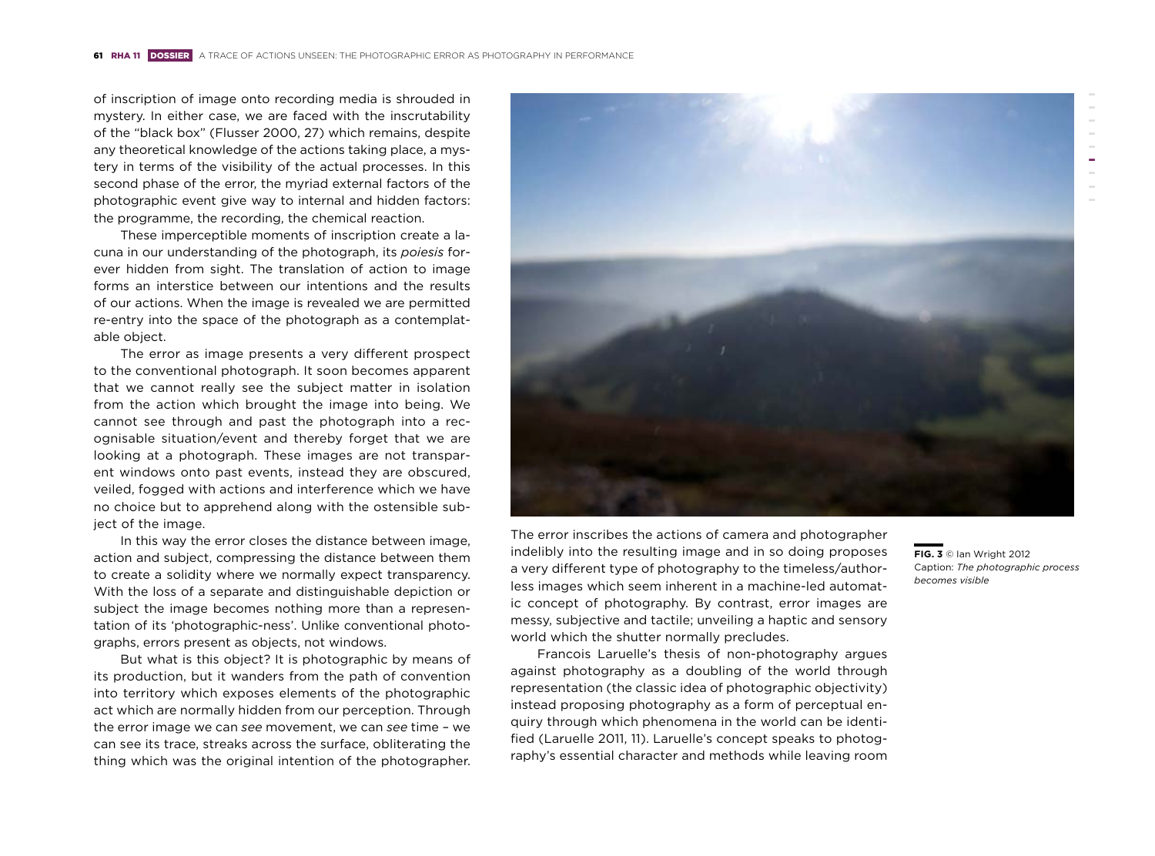of inscription of image onto recording media is shrouded in mystery. In either case, we are faced with the inscrutability of the "black box" (Flusser 2000, 27) which remains, despite any theoretical knowledge of the actions taking place, a mystery in terms of the visibility of the actual processes. In this second phase of the error, the myriad external factors of the photographic event give way to internal and hidden factors: the programme, the recording, the chemical reaction.

These imperceptible moments of inscription create a lacuna in our understanding of the photograph, its *poiesis* forever hidden from sight. The translation of action to image forms an interstice between our intentions and the results of our actions. When the image is revealed we are permitted re-entry into the space of the photograph as a contemplatable object.

The error as image presents a very different prospect to the conventional photograph. It soon becomes apparent that we cannot really see the subject matter in isolation from the action which brought the image into being. We cannot see through and past the photograph into a recognisable situation/event and thereby forget that we are looking at a photograph. These images are not transparent windows onto past events, instead they are obscured, veiled, fogged with actions and interference which we have no choice but to apprehend along with the ostensible subject of the image.

In this way the error closes the distance between image, action and subject, compressing the distance between them to create a solidity where we normally expect transparency. With the loss of a separate and distinguishable depiction or subject the image becomes nothing more than a representation of its 'photographic-ness'. Unlike conventional photographs, errors present as objects, not windows.

But what is this object? It is photographic by means of its production, but it wanders from the path of convention into territory which exposes elements of the photographic act which are normally hidden from our perception. Through the error image we can *see* movement, we can *see* time – we can see its trace, streaks across the surface, obliterating the thing which was the original intention of the photographer.



The error inscribes the actions of camera and photographer indelibly into the resulting image and in so doing proposes a very different type of photography to the timeless/authorless images which seem inherent in a machine-led automatic concept of photography. By contrast, error images are messy, subjective and tactile; unveiling a haptic and sensory world which the shutter normally precludes.

Francois Laruelle's thesis of non-photography argues against photography as a doubling of the world through representation (the classic idea of photographic objectivity) instead proposing photography as a form of perceptual enquiry through which phenomena in the world can be identified (Laruelle 2011, 11). Laruelle's concept speaks to photography's essential character and methods while leaving room

**FIG. 3** © Ian Wright 2012 Caption: *The photographic process becomes visible*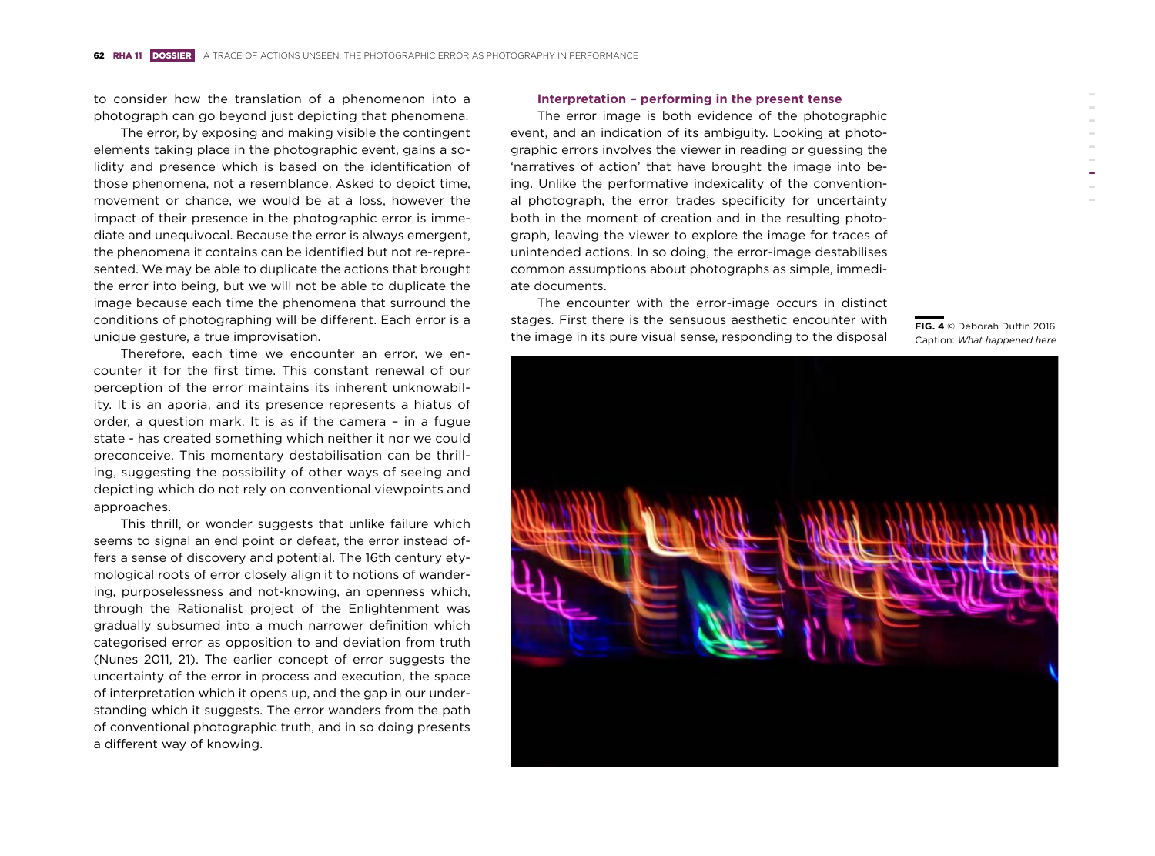to consider how the translation of a phenomenon into a photograph can go beyond just depicting that phenomena.

The error, by exposing and making visible the contingent elements taking place in the photographic event, gains a solidity and presence which is based on the identification of those phenomena, not a resemblance. Asked to depict time, movement or chance, we would be at a loss, however the impact of their presence in the photographic error is immediate and unequivocal. Because the error is always emergent, the phenomena it contains can be identified but not re-represented. We may be able to duplicate the actions that brought the error into being, but we will not be able to duplicate the image because each time the phenomena that surround the conditions of photographing will be different. Each error is a unique gesture, a true improvisation.

Therefore, each time we encounter an error, we encounter it for the first time. This constant renewal of our perception of the error maintains its inherent unknowability. It is an aporia, and its presence represents a hiatus of order, a question mark. It is as if the camera – in a fugue state - has created something which neither it nor we could preconceive. This momentary destabilisation can be thrilling, suggesting the possibility of other ways of seeing and depicting which do not rely on conventional viewpoints and approaches.

This thrill, or wonder suggests that unlike failure which seems to signal an end point or defeat, the error instead offers a sense of discovery and potential. The 16th century etymological roots of error closely align it to notions of wandering, purposelessness and not-knowing, an openness which, through the Rationalist project of the Enlightenment was gradually subsumed into a much narrower definition which categorised error as opposition to and deviation from truth (Nunes 2011, 21). The earlier concept of error suggests the uncertainty of the error in process and execution, the space of interpretation which it opens up, and the gap in our understanding which it suggests. The error wanders from the path of conventional photographic truth, and in so doing presents a different way of knowing.

#### **Interpretation – performing in the present tense**

The error image is both evidence of the photographic event, and an indication of its ambiguity. Looking at photographic errors involves the viewer in reading or guessing the 'narratives of action' that have brought the image into being. Unlike the performative indexicality of the conventional photograph, the error trades specificity for uncertainty both in the moment of creation and in the resulting photograph, leaving the viewer to explore the image for traces of unintended actions. In so doing, the error-image destabilises common assumptions about photographs as simple, immediate documents.

The encounter with the error-image occurs in distinct stages. First there is the sensuous aesthetic encounter with the image in its pure visual sense, responding to the disposal



**FIG. 4** © Deborah Duffin 2016 Caption: *What happened here*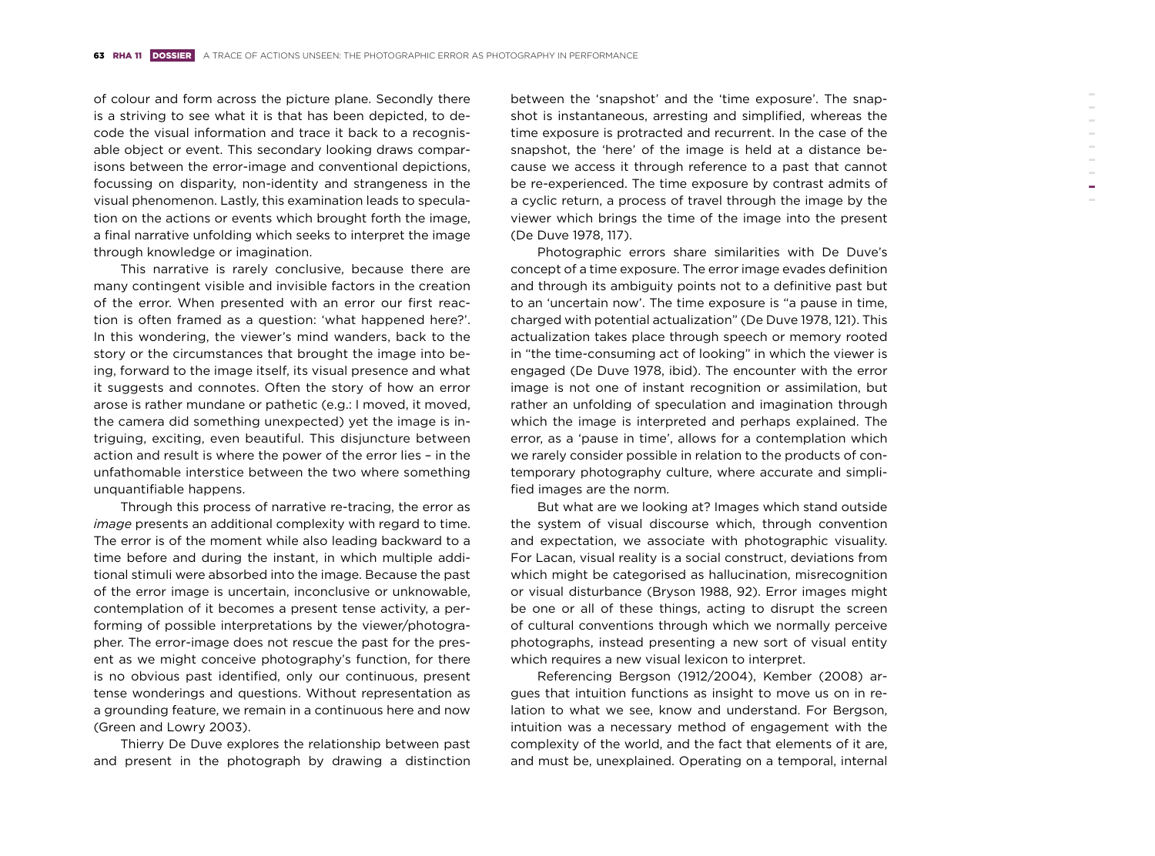of colour and form across the picture plane. Secondly there is a striving to see what it is that has been depicted, to decode the visual information and trace it back to a recognisable object or event. This secondary looking draws comparisons between the error-image and conventional depictions, focussing on disparity, non-identity and strangeness in the visual phenomenon. Lastly, this examination leads to speculation on the actions or events which brought forth the image, a final narrative unfolding which seeks to interpret the image through knowledge or imagination.

This narrative is rarely conclusive, because there are many contingent visible and invisible factors in the creation of the error. When presented with an error our first reaction is often framed as a question: 'what happened here?'. In this wondering, the viewer's mind wanders, back to the story or the circumstances that brought the image into being, forward to the image itself, its visual presence and what it suggests and connotes. Often the story of how an error arose is rather mundane or pathetic (e.g.: I moved, it moved, the camera did something unexpected) yet the image is intriguing, exciting, even beautiful. This disjuncture between action and result is where the power of the error lies – in the unfathomable interstice between the two where something unquantifiable happens.

Through this process of narrative re-tracing, the error as *image* presents an additional complexity with regard to time. The error is of the moment while also leading backward to a time before and during the instant, in which multiple additional stimuli were absorbed into the image. Because the past of the error image is uncertain, inconclusive or unknowable, contemplation of it becomes a present tense activity, a performing of possible interpretations by the viewer/photographer. The error-image does not rescue the past for the present as we might conceive photography's function, for there is no obvious past identified, only our continuous, present tense wonderings and questions. Without representation as a grounding feature, we remain in a continuous here and now (Green and Lowry 2003).

Thierry De Duve explores the relationship between past and present in the photograph by drawing a distinction

(De Duve 1978, 117).

between the 'snapshot' and the 'time exposure'. The snapshot is instantaneous, arresting and simplified, whereas the time exposure is protracted and recurrent. In the case of the snapshot, the 'here' of the image is held at a distance because we access it through reference to a past that cannot be re-experienced. The time exposure by contrast admits of a cyclic return, a process of travel through the image by the viewer which brings the time of the image into the present Photographic errors share similarities with De Duve's concept of a time exposure. The error image evades definition and through its ambiguity points not to a definitive past but to an 'uncertain now'. The time exposure is "a pause in time, charged with potential actualization" (De Duve 1978, 121). This actualization takes place through speech or memory rooted in "the time-consuming act of looking" in which the viewer is engaged (De Duve 1978, ibid). The encounter with the error image is not one of instant recognition or assimilation, but rather an unfolding of speculation and imagination through which the image is interpreted and perhaps explained. The error, as a 'pause in time', allows for a contemplation which we rarely consider possible in relation to the products of contemporary photography culture, where accurate and simplified images are the norm. But what are we looking at? Images which stand outside the system of visual discourse which, through convention

and expectation, we associate with photographic visuality. For Lacan, visual reality is a social construct, deviations from which might be categorised as hallucination, misrecognition or visual disturbance (Bryson 1988, 92). Error images might be one or all of these things, acting to disrupt the screen of cultural conventions through which we normally perceive photographs, instead presenting a new sort of visual entity which requires a new visual lexicon to interpret.

Referencing Bergson (1912/2004), Kember (2008) argues that intuition functions as insight to move us on in relation to what we see, know and understand. For Bergson, intuition was a necessary method of engagement with the complexity of the world, and the fact that elements of it are, and must be, unexplained. Operating on a temporal, internal